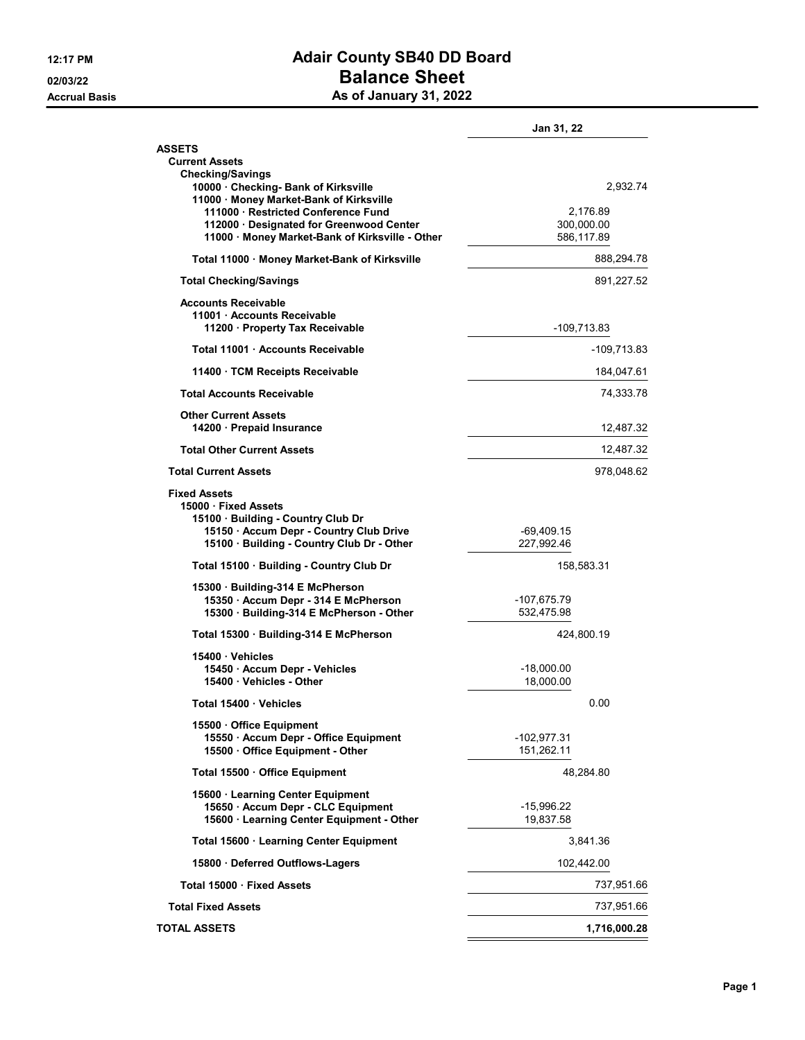## 12:17 PM **Adair County SB40 DD Board** 02/03/22 **Balance Sheet** Accrual Basis **As of January 31, 2022**

|                                                                                                                                                                        | Jan 31, 22                |                          |  |
|------------------------------------------------------------------------------------------------------------------------------------------------------------------------|---------------------------|--------------------------|--|
| <b>ASSETS</b><br><b>Current Assets</b>                                                                                                                                 |                           |                          |  |
| <b>Checking/Savings</b><br>10000 · Checking- Bank of Kirksville<br>11000 · Money Market-Bank of Kirksville<br>111000 · Restricted Conference Fund                      |                           | 2,932.74<br>2,176.89     |  |
| 112000 Designated for Greenwood Center<br>11000 · Money Market-Bank of Kirksville - Other                                                                              |                           | 300,000.00<br>586,117.89 |  |
| Total 11000 · Money Market-Bank of Kirksville                                                                                                                          | 888,294.78                |                          |  |
| <b>Total Checking/Savings</b>                                                                                                                                          | 891,227.52                |                          |  |
| <b>Accounts Receivable</b><br>11001 Accounts Receivable<br>11200 · Property Tax Receivable                                                                             | -109,713.83               |                          |  |
| Total 11001 Accounts Receivable                                                                                                                                        | -109,713.83               |                          |  |
| 11400 · TCM Receipts Receivable                                                                                                                                        | 184,047.61                |                          |  |
| <b>Total Accounts Receivable</b>                                                                                                                                       |                           | 74,333.78                |  |
| <b>Other Current Assets</b><br>14200 · Prepaid Insurance                                                                                                               | 12,487.32                 |                          |  |
| <b>Total Other Current Assets</b>                                                                                                                                      | 12,487.32                 |                          |  |
| <b>Total Current Assets</b>                                                                                                                                            |                           | 978,048.62               |  |
| <b>Fixed Assets</b><br>15000 Fixed Assets<br>15100 Building - Country Club Dr<br>15150 · Accum Depr - Country Club Drive<br>15100 · Building - Country Club Dr - Other | -69,409.15<br>227,992.46  |                          |  |
| Total 15100 · Building - Country Club Dr                                                                                                                               | 158,583.31                |                          |  |
| 15300 Building-314 E McPherson<br>15350 · Accum Depr - 314 E McPherson<br>15300 · Building-314 E McPherson - Other                                                     | -107,675.79<br>532,475.98 |                          |  |
| Total 15300 · Building-314 E McPherson                                                                                                                                 |                           | 424,800.19               |  |
| 15400 Vehicles<br>15450 Accum Depr - Vehicles<br>15400 · Vehicles - Other                                                                                              | -18,000.00<br>18,000.00   |                          |  |
| Total 15400 Vehicles                                                                                                                                                   | 0.00                      |                          |  |
| 15500 Office Equipment<br>15550 Accum Depr - Office Equipment<br>15500 Office Equipment - Other                                                                        | -102,977.31<br>151,262.11 |                          |  |
| Total 15500 Office Equipment                                                                                                                                           |                           | 48,284.80                |  |
| 15600 · Learning Center Equipment<br>15650 · Accum Depr - CLC Equipment<br>15600 · Learning Center Equipment - Other                                                   | -15,996.22<br>19,837.58   |                          |  |
| Total 15600 · Learning Center Equipment                                                                                                                                |                           | 3,841.36                 |  |
| 15800 Deferred Outflows-Lagers                                                                                                                                         | 102,442.00                |                          |  |
| Total 15000 · Fixed Assets                                                                                                                                             | 737,951.66                |                          |  |
| <b>Total Fixed Assets</b>                                                                                                                                              | 737,951.66                |                          |  |
| TOTAL ASSETS                                                                                                                                                           |                           | 1,716,000.28             |  |